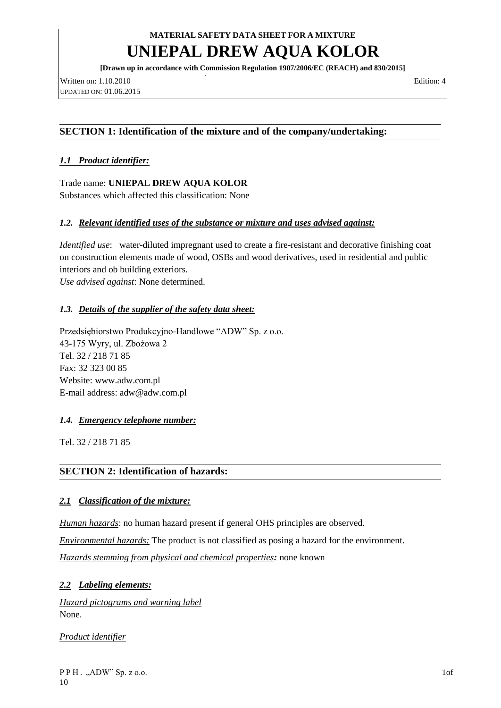# **UNIEPAL DREW AQUA KOLOR**

**[Drawn up in accordance with Commission Regulation 1907/2006/EC (REACH) and 830/2015]**

Written on: 1.10.2010 Edition: 4 UPDATED ON: 01.06.2015

## **SECTION 1: Identification of the mixture and of the company/undertaking:**

## *1.1 Product identifier:*

Trade name: **UNIEPAL DREW AQUA KOLOR**  Substances which affected this classification: None

### *1.2. Relevant identified uses of the substance or mixture and uses advised against:*

*Identified use*: water-diluted impregnant used to create a fire-resistant and decorative finishing coat on construction elements made of wood, OSBs and wood derivatives, used in residential and public interiors and ob building exteriors.

*Use advised against*: None determined.

### *1.3. Details of the supplier of the safety data sheet:*

Przedsiębiorstwo Produkcyjno-Handlowe "ADW" Sp. z o.o. 43-175 Wyry, ul. Zbożowa 2 Tel. 32 / 218 71 85 Fax: 32 323 00 85 Website: [www.adw.com.pl](http://www.adw.com.pl/) E-mail address: [adw@adw.com.pl](mailto:adw@adw.com.pl)

### *1.4. Emergency telephone number:*

Tel. 32 / 218 71 85

### **SECTION 2: Identification of hazards:**

### *2.1 Classification of the mixture:*

*Human hazards*: no human hazard present if general OHS principles are observed.

*Environmental hazards:* The product is not classified as posing a hazard for the environment.

*Hazards stemming from physical and chemical properties:* none known

### *2.2 Labeling elements:*

*Hazard pictograms and warning label* None.

*Product identifier*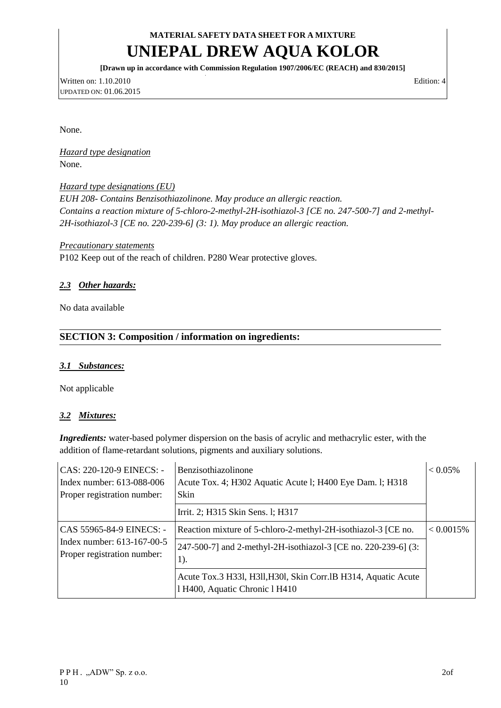# **UNIEPAL DREW AQUA KOLOR**

**[Drawn up in accordance with Commission Regulation 1907/2006/EC (REACH) and 830/2015]**

Written on: 1.10.2010 Edition: 4 UPDATED ON: 01.06.2015

None.

*Hazard type designation* None.

*Hazard type designations (EU) EUH 208- Contains Benzisothiazolinone. May produce an allergic reaction. Contains a reaction mixture of 5-chloro-2-methyl-2H-isothiazol-3 [CE no. 247-500-7] and 2-methyl-2H-isothiazol-3 [CE no. 220-239-6] (3: 1). May produce an allergic reaction.*

#### *Precautionary statements*

P102 Keep out of the reach of children. P280 Wear protective gloves.

### *2.3 Other hazards:*

No data available

## **SECTION 3: Composition / information on ingredients:**

#### *3.1 Substances:*

Not applicable

### *3.2 Mixtures:*

*Ingredients:* water-based polymer dispersion on the basis of acrylic and methacrylic ester, with the addition of flame-retardant solutions, pigments and auxiliary solutions.

| CAS: 220-120-9 EINECS: -<br>Index number: 613-088-006<br>Proper registration number:  | Benzisothiazolinone<br>Acute Tox. 4; H302 Aquatic Acute 1; H400 Eye Dam. 1; H318<br><b>Skin</b>  | $< 0.05\%$   |
|---------------------------------------------------------------------------------------|--------------------------------------------------------------------------------------------------|--------------|
|                                                                                       | Irrit. 2; H315 Skin Sens. 1; H317                                                                |              |
| CAS 55965-84-9 EINECS: -<br>Index number: 613-167-00-5<br>Proper registration number: | Reaction mixture of 5-chloro-2-methyl-2H-isothiazol-3 [CE no.                                    | $< 0.0015\%$ |
|                                                                                       | 247-500-7] and 2-methyl-2H-isothiazol-3 [CE no. 220-239-6] (3:<br>$1$ ).                         |              |
|                                                                                       | Acute Tox.3 H331, H311, H301, Skin Corr.1B H314, Aquatic Acute<br>1 H400, Aquatic Chronic 1 H410 |              |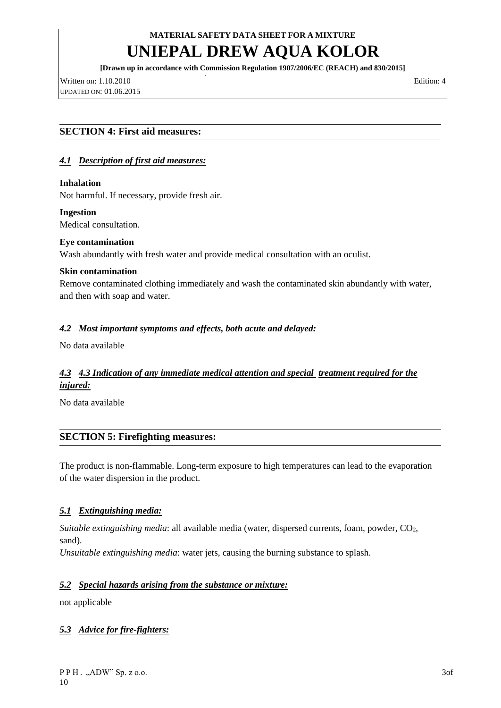# **UNIEPAL DREW AQUA KOLOR**

**[Drawn up in accordance with Commission Regulation 1907/2006/EC (REACH) and 830/2015]**

Written on: 1.10.2010 Edition: 4 UPDATED ON: 01.06.2015

### **SECTION 4: First aid measures:**

### *4.1 Description of first aid measures:*

#### **Inhalation**

Not harmful. If necessary, provide fresh air.

#### **Ingestion**

Medical consultation.

#### **Eye contamination**

Wash abundantly with fresh water and provide medical consultation with an oculist.

#### **Skin contamination**

Remove contaminated clothing immediately and wash the contaminated skin abundantly with water, and then with soap and water.

### *4.2 Most important symptoms and effects, both acute and delayed:*

No data available

## *4.3 4.3 Indication of any immediate medical attention and special treatment required for the injured:*

No data available

### **SECTION 5: Firefighting measures:**

The product is non-flammable. Long-term exposure to high temperatures can lead to the evaporation of the water dispersion in the product.

### *5.1 Extinguishing media:*

*Suitable extinguishing media*: all available media (water, dispersed currents, foam, powder, CO<sub>2</sub>, sand).

*Unsuitable extinguishing media*: water jets, causing the burning substance to splash.

### *5.2 Special hazards arising from the substance or mixture:*

not applicable

### *5.3 Advice for fire-fighters:*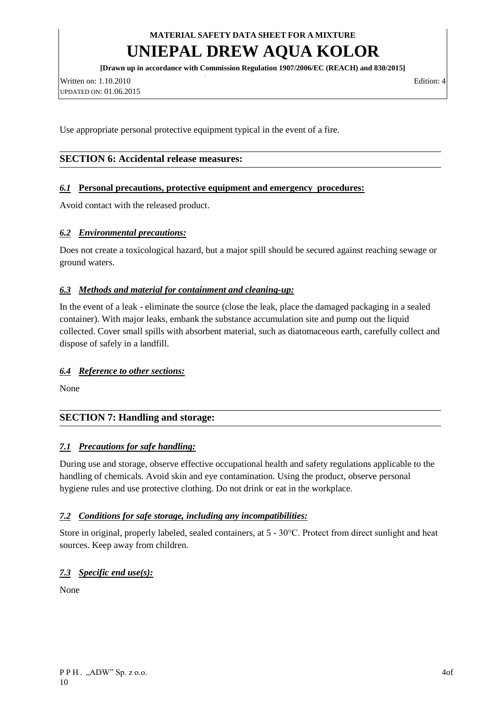# **UNIEPAL DREW AQUA KOLOR**

**[Drawn up in accordance with Commission Regulation 1907/2006/EC (REACH) and 830/2015]**

Written on: 1.10.2010 Edition: 4 UPDATED ON: 01.06.2015

Use appropriate personal protective equipment typical in the event of a fire.

### **SECTION 6: Accidental release measures:**

#### *6.1* **Personal precautions, protective equipment and emergency procedures:**

Avoid contact with the released product.

#### *6.2 Environmental precautions:*

Does not create a toxicological hazard, but a major spill should be secured against reaching sewage or ground waters.

#### *6.3 Methods and material for containment and cleaning-up:*

In the event of a leak - eliminate the source (close the leak, place the damaged packaging in a sealed container). With major leaks, embank the substance accumulation site and pump out the liquid collected. Cover small spills with absorbent material, such as diatomaceous earth, carefully collect and dispose of safely in a landfill.

#### *6.4 Reference to other sections:*

None

### **SECTION 7: Handling and storage:**

#### *7.1 Precautions for safe handling:*

During use and storage, observe effective occupational health and safety regulations applicable to the handling of chemicals. Avoid skin and eye contamination. Using the product, observe personal hygiene rules and use protective clothing. Do not drink or eat in the workplace.

#### *7.2 Conditions for safe storage, including any incompatibilities:*

Store in original, properly labeled, sealed containers, at 5 - 30°C. Protect from direct sunlight and heat sources. Keep away from children.

### *7.3 Specific end use(s):*

None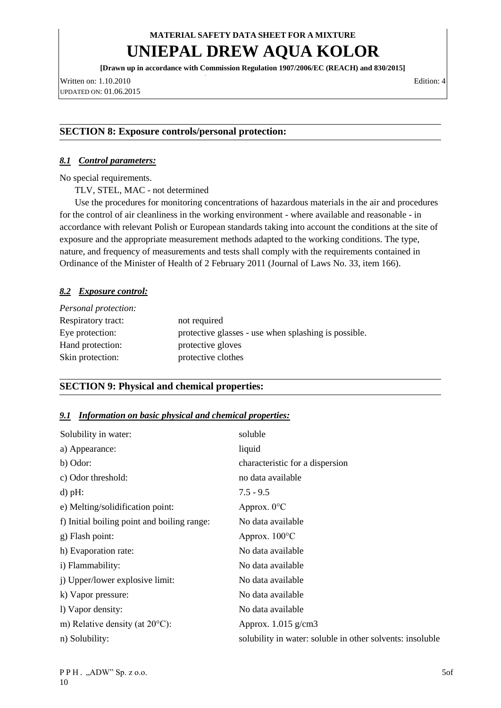## **UNIEPAL DREW AQUA KOLOR**

**[Drawn up in accordance with Commission Regulation 1907/2006/EC (REACH) and 830/2015]**

Written on: 1.10.2010 Edition: 4 UPDATED ON: 01.06.2015

#### **SECTION 8: Exposure controls/personal protection:**

#### *8.1 Control parameters:*

No special requirements.

TLV, STEL, MAC - not determined

Use the procedures for monitoring concentrations of hazardous materials in the air and procedures for the control of air cleanliness in the working environment - where available and reasonable - in accordance with relevant Polish or European standards taking into account the conditions at the site of exposure and the appropriate measurement methods adapted to the working conditions. The type, nature, and frequency of measurements and tests shall comply with the requirements contained in Ordinance of the Minister of Health of 2 February 2011 (Journal of Laws No. 33, item 166).

#### *8.2 Exposure control:*

| Personal protection: |                                                      |
|----------------------|------------------------------------------------------|
| Respiratory tract:   | not required                                         |
| Eye protection:      | protective glasses - use when splashing is possible. |
| Hand protection:     | protective gloves                                    |
| Skin protection:     | protective clothes                                   |

### **SECTION 9: Physical and chemical properties:**

#### *9.1 Information on basic physical and chemical properties:*

| Solubility in water:                        | soluble                                                   |
|---------------------------------------------|-----------------------------------------------------------|
| a) Appearance:                              | liquid                                                    |
| b) Odor:                                    | characteristic for a dispersion                           |
| c) Odor threshold:                          | no data available                                         |
| $d$ ) pH:                                   | $7.5 - 9.5$                                               |
| e) Melting/solidification point:            | Approx. $0^{\circ}$ C                                     |
| f) Initial boiling point and boiling range: | No data available                                         |
| g) Flash point:                             | Approx. $100^{\circ}$ C                                   |
| h) Evaporation rate:                        | No data available                                         |
| i) Flammability:                            | No data available                                         |
| j) Upper/lower explosive limit:             | No data available                                         |
| k) Vapor pressure:                          | No data available                                         |
| 1) Vapor density:                           | No data available                                         |
| m) Relative density (at $20^{\circ}$ C):    | Approx. $1.015$ g/cm3                                     |
| n) Solubility:                              | solubility in water: soluble in other solvents: insoluble |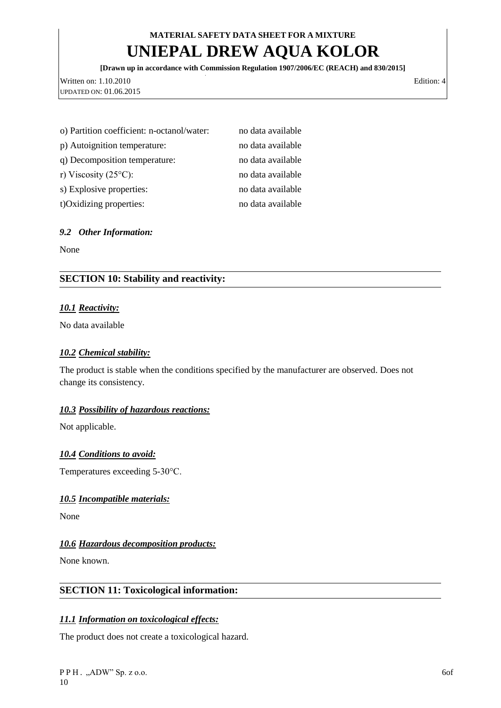# **UNIEPAL DREW AQUA KOLOR**

**[Drawn up in accordance with Commission Regulation 1907/2006/EC (REACH) and 830/2015]**

Written on: 1.10.2010 Edition: 4 UPDATED ON: 01.06.2015

| o) Partition coefficient: n-octanol/water: | no data available |
|--------------------------------------------|-------------------|
| p) Autoignition temperature:               | no data available |
| q) Decomposition temperature:              | no data available |
| r) Viscosity (25 $\rm ^{\circ}C$ ):        | no data available |
| s) Explosive properties:                   | no data available |
| t) Oxidizing properties:                   | no data available |

## *9.2 Other Information:*

None

## **SECTION 10: Stability and reactivity:**

## *10.1 Reactivity:*

No data available

#### *10.2 Chemical stability:*

The product is stable when the conditions specified by the manufacturer are observed. Does not change its consistency.

### *10.3 Possibility of hazardous reactions:*

Not applicable.

### *10.4 Conditions to avoid:*

Temperatures exceeding 5-30°C.

### *10.5 Incompatible materials:*

None

### *10.6 Hazardous decomposition products:*

None known.

### **SECTION 11: Toxicological information:**

### *11.1 Information on toxicological effects:*

The product does not create a toxicological hazard.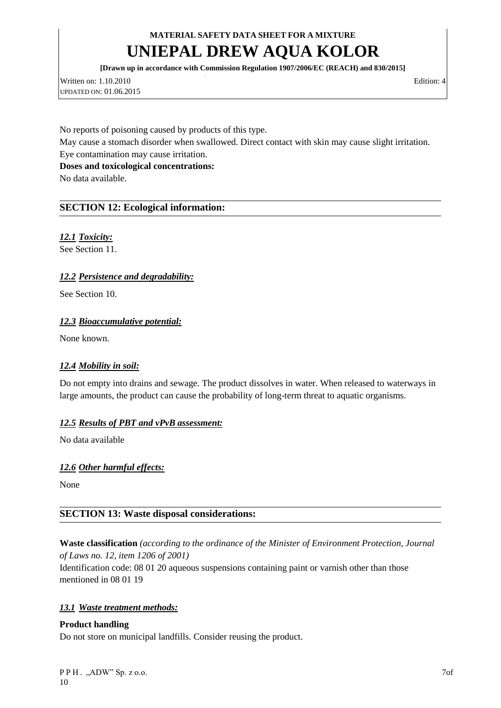# **UNIEPAL DREW AQUA KOLOR**

**[Drawn up in accordance with Commission Regulation 1907/2006/EC (REACH) and 830/2015]**

Written on: 1.10.2010 Edition: 4 UPDATED ON: 01.06.2015

No reports of poisoning caused by products of this type. May cause a stomach disorder when swallowed. Direct contact with skin may cause slight irritation. Eye contamination may cause irritation. **Doses and toxicological concentrations:**

No data available.

## **SECTION 12: Ecological information:**

## *12.1 Toxicity:*

See Section 11.

## *12.2 Persistence and degradability:*

See Section 10.

### *12.3 Bioaccumulative potential:*

None known.

### *12.4 Mobility in soil:*

Do not empty into drains and sewage. The product dissolves in water. When released to waterways in large amounts, the product can cause the probability of long-term threat to aquatic organisms.

### *12.5 Results of PBT and vPvB assessment:*

No data available

### *12.6 Other harmful effects:*

None

## **SECTION 13: Waste disposal considerations:**

## **Waste classification** *(according to the ordinance of the Minister of Environment Protection, Journal of Laws no. 12, item 1206 of 2001)*

Identification code: 08 01 20 aqueous suspensions containing paint or varnish other than those mentioned in 08 01 19

### *13.1 Waste treatment methods:*

### **Product handling**

Do not store on municipal landfills. Consider reusing the product.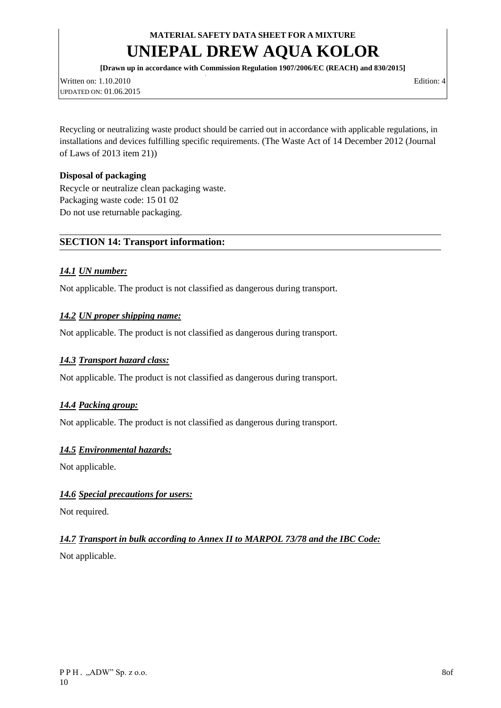# **UNIEPAL DREW AQUA KOLOR**

**[Drawn up in accordance with Commission Regulation 1907/2006/EC (REACH) and 830/2015]**

Written on: 1.10.2010 Edition: 4 UPDATED ON: 01.06.2015

Recycling or neutralizing waste product should be carried out in accordance with applicable regulations, in installations and devices fulfilling specific requirements. [\(The Waste Act of 14 December 2012 \(Journal](http://www.lex.pl/du-akt/-/akt/dz-u-2013-21)  [of Laws of 2013 item 21\)\)](http://www.lex.pl/du-akt/-/akt/dz-u-2013-21)

### **Disposal of packaging**

Recycle or neutralize clean packaging waste. Packaging waste code: 15 01 02 Do not use returnable packaging.

### **SECTION 14: Transport information:**

#### *14.1 UN number:*

Not applicable. The product is not classified as dangerous during transport.

#### *14.2 UN proper shipping name:*

Not applicable. The product is not classified as dangerous during transport.

### *14.3 Transport hazard class:*

Not applicable. The product is not classified as dangerous during transport.

### *14.4 Packing group:*

Not applicable. The product is not classified as dangerous during transport.

#### *14.5 Environmental hazards:*

Not applicable.

### *14.6 Special precautions for users:*

Not required.

### *14.7 Transport in bulk according to Annex II to MARPOL 73/78 and the IBC Code:*

Not applicable.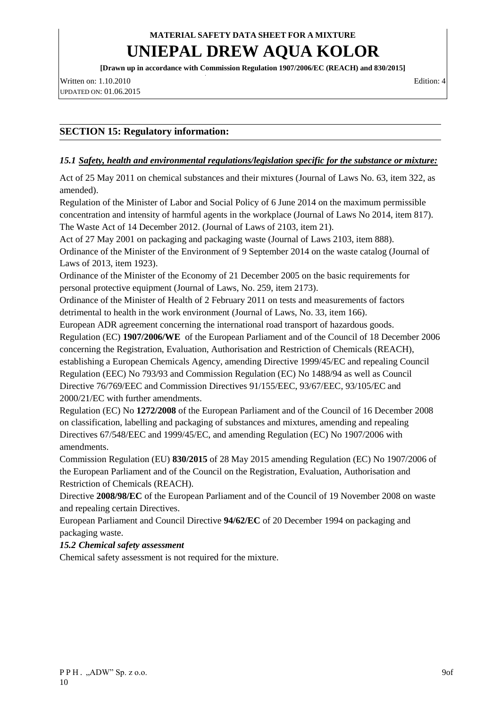# **UNIEPAL DREW AQUA KOLOR**

**[Drawn up in accordance with Commission Regulation 1907/2006/EC (REACH) and 830/2015]**

Written on: 1.10.2010 Edition: 4 UPDATED ON: 01.06.2015

## **SECTION 15: Regulatory information:**

#### *15.1 Safety, health and environmental regulations/legislation specific for the substance or mixture:*

Act of 25 May 2011 on chemical substances and their mixtures (Journal of Laws No. 63, item 322, as amended).

Regulation of the Minister of Labor and Social Policy of 6 June 2014 on the maximum permissible concentration and intensity of harmful agents in the workplace (Journal of Laws No 2014, item 817). The Waste Act of 14 December 2012. (Journal of Laws of 2103, item 21).

Act of 27 May 2001 on packaging and packaging waste (Journal of Laws 2103, item 888). Ordinance of the Minister of the Environment of 9 September 2014 on the waste catalog (Journal of

Laws of 2013, item 1923).

Ordinance of the Minister of the Economy of 21 December 2005 on the basic requirements for personal protective equipment (Journal of Laws, No. 259, item 2173).

Ordinance of the Minister of Health of 2 February 2011 on tests and measurements of factors detrimental to health in the work environment (Journal of Laws, No. 33, item 166).

European ADR agreement concerning the international road transport of hazardous goods. Regulation (EC) **1907/2006/WE** of the European Parliament and of the Council of 18 December 2006 concerning the Registration, Evaluation, Authorisation and Restriction of Chemicals (REACH), establishing a European Chemicals Agency, amending Directive 1999/45/EC and repealing Council Regulation (EEC) No 793/93 and Commission Regulation (EC) No 1488/94 as well as Council Directive 76/769/EEC and Commission Directives 91/155/EEC, 93/67/EEC, 93/105/EC and 2000/21/EC with further amendments.

Regulation (EC) No **1272/2008** of the European Parliament and of the Council of 16 December 2008 on classification, labelling and packaging of substances and mixtures, amending and repealing Directives 67/548/EEC and 1999/45/EC, and amending Regulation (EC) No 1907/2006 with amendments.

Commission Regulation (EU) **830/2015** of 28 May 2015 amending Regulation (EC) No 1907/2006 of the European Parliament and of the Council on the Registration, Evaluation, Authorisation and Restriction of Chemicals (REACH).

Directive **2008/98/EC** of the European Parliament and of the Council of 19 November 2008 on waste and repealing certain Directives.

European Parliament and Council Directive **94/62/EC** of 20 December 1994 on packaging and packaging waste.

### *15.2 Chemical safety assessment*

Chemical safety assessment is not required for the mixture.